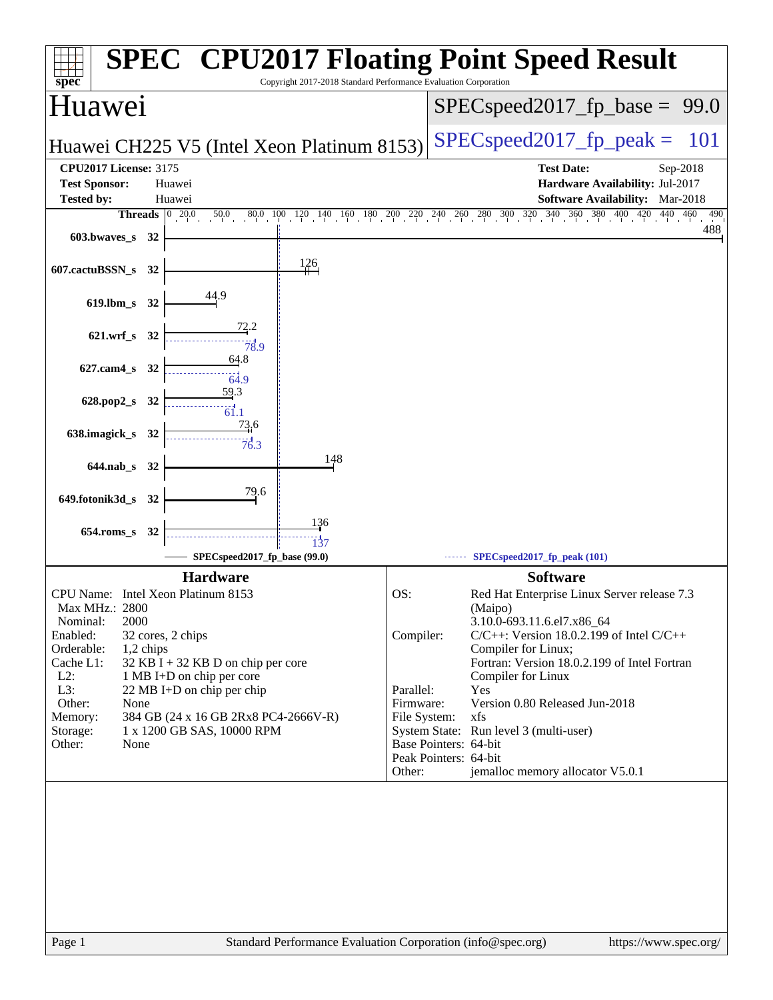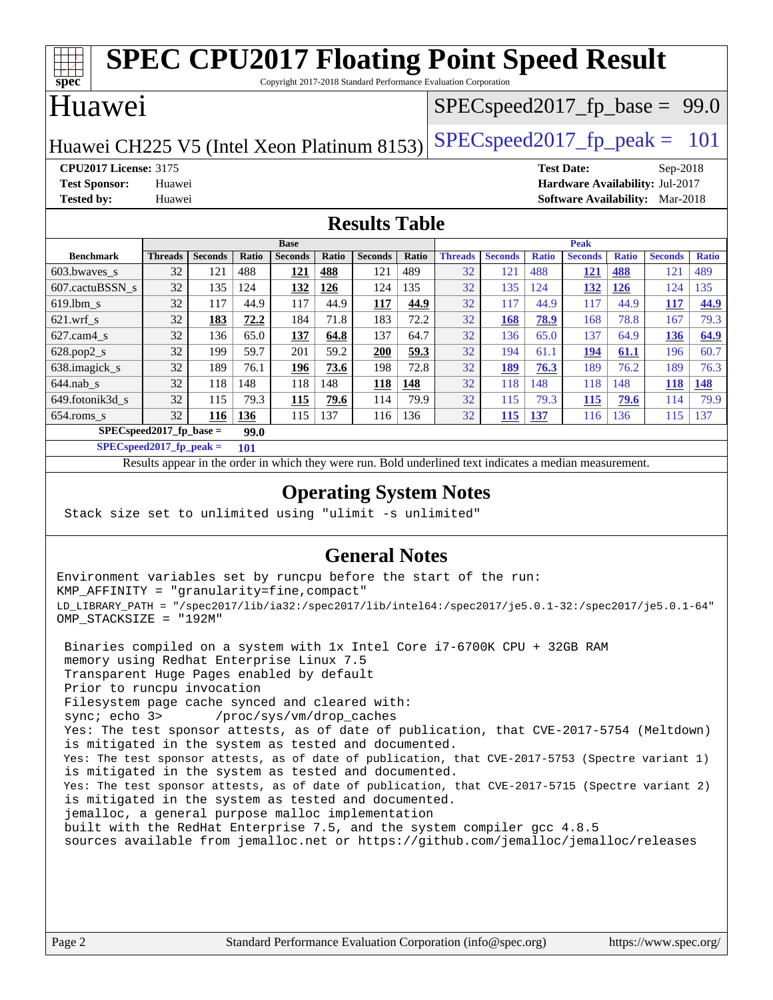| <b>SPEC CPU2017 Floating Point Speed Result</b><br>Copyright 2017-2018 Standard Performance Evaluation Corporation<br>spec <sup>®</sup>                                                                                                                                                                                                                                                                                                                                                                                                                                                                                                                                                                                                                                                                                                                                                                                                                                                                                     |                                                                                                                       |                |              |                |              |                      |              |                                                                                                          |                |                     |                   |              |                |              |
|-----------------------------------------------------------------------------------------------------------------------------------------------------------------------------------------------------------------------------------------------------------------------------------------------------------------------------------------------------------------------------------------------------------------------------------------------------------------------------------------------------------------------------------------------------------------------------------------------------------------------------------------------------------------------------------------------------------------------------------------------------------------------------------------------------------------------------------------------------------------------------------------------------------------------------------------------------------------------------------------------------------------------------|-----------------------------------------------------------------------------------------------------------------------|----------------|--------------|----------------|--------------|----------------------|--------------|----------------------------------------------------------------------------------------------------------|----------------|---------------------|-------------------|--------------|----------------|--------------|
| Huawei<br>$SPEC speed2017_f p\_base = 99.0$                                                                                                                                                                                                                                                                                                                                                                                                                                                                                                                                                                                                                                                                                                                                                                                                                                                                                                                                                                                 |                                                                                                                       |                |              |                |              |                      |              |                                                                                                          |                |                     |                   |              |                |              |
| $SPEC speed2017fp peak =$<br>Huawei CH225 V5 (Intel Xeon Platinum 8153)                                                                                                                                                                                                                                                                                                                                                                                                                                                                                                                                                                                                                                                                                                                                                                                                                                                                                                                                                     |                                                                                                                       |                |              |                |              |                      |              | 101                                                                                                      |                |                     |                   |              |                |              |
| <b>CPU2017 License: 3175</b>                                                                                                                                                                                                                                                                                                                                                                                                                                                                                                                                                                                                                                                                                                                                                                                                                                                                                                                                                                                                |                                                                                                                       |                |              |                |              |                      |              |                                                                                                          |                |                     | <b>Test Date:</b> |              | Sep-2018       |              |
| <b>Tested by:</b>                                                                                                                                                                                                                                                                                                                                                                                                                                                                                                                                                                                                                                                                                                                                                                                                                                                                                                                                                                                                           | <b>Test Sponsor:</b><br>Hardware Availability: Jul-2017<br>Huawei<br>Huawei<br><b>Software Availability:</b> Mar-2018 |                |              |                |              |                      |              |                                                                                                          |                |                     |                   |              |                |              |
| <b>Results Table</b>                                                                                                                                                                                                                                                                                                                                                                                                                                                                                                                                                                                                                                                                                                                                                                                                                                                                                                                                                                                                        |                                                                                                                       |                |              |                |              |                      |              |                                                                                                          |                |                     |                   |              |                |              |
|                                                                                                                                                                                                                                                                                                                                                                                                                                                                                                                                                                                                                                                                                                                                                                                                                                                                                                                                                                                                                             |                                                                                                                       |                |              | <b>Base</b>    |              |                      |              |                                                                                                          |                |                     | <b>Peak</b>       |              |                |              |
| <b>Benchmark</b>                                                                                                                                                                                                                                                                                                                                                                                                                                                                                                                                                                                                                                                                                                                                                                                                                                                                                                                                                                                                            | Threads                                                                                                               | <b>Seconds</b> | Ratio        | <b>Seconds</b> | Ratio        | <b>Seconds</b>       | Ratio        | <b>Threads</b>                                                                                           | <b>Seconds</b> | <b>Ratio</b>        | <b>Seconds</b>    | <b>Ratio</b> | <b>Seconds</b> | <b>Ratio</b> |
| 603.bwaves_s                                                                                                                                                                                                                                                                                                                                                                                                                                                                                                                                                                                                                                                                                                                                                                                                                                                                                                                                                                                                                | 32                                                                                                                    | 121            | 488          | <u>121</u>     | 488          | 121                  | 489          | 32                                                                                                       | 121            | 488                 | <u>121</u>        | 488          | 121            | 489          |
| 607.cactuBSSN_s                                                                                                                                                                                                                                                                                                                                                                                                                                                                                                                                                                                                                                                                                                                                                                                                                                                                                                                                                                                                             | 32                                                                                                                    | 135            | 124          | 132            | 126          | 124                  | 135          | 32                                                                                                       | 135            | 124                 | 132               | 126          | 124            | 135          |
| $619.$ lbm_s<br>$621.wrf$ s                                                                                                                                                                                                                                                                                                                                                                                                                                                                                                                                                                                                                                                                                                                                                                                                                                                                                                                                                                                                 | 32<br>32                                                                                                              | 117<br>183     | 44.9<br>72.2 | 117<br>184     | 44.9<br>71.8 | 117<br>183           | 44.9<br>72.2 | 32<br>32                                                                                                 | 117<br>168     | 44.9                | 117<br>168        | 44.9<br>78.8 | 117<br>167     | 44.9<br>79.3 |
| $627.cam4_s$                                                                                                                                                                                                                                                                                                                                                                                                                                                                                                                                                                                                                                                                                                                                                                                                                                                                                                                                                                                                                | 32                                                                                                                    | 136            | 65.0         | <u>137</u>     | 64.8         | 137                  | 64.7         | 32                                                                                                       | 136            | <b>78.9</b><br>65.0 | 137               | 64.9         | <b>136</b>     | 64.9         |
| $628.pop2_s$                                                                                                                                                                                                                                                                                                                                                                                                                                                                                                                                                                                                                                                                                                                                                                                                                                                                                                                                                                                                                | 32                                                                                                                    | 199            | 59.7         | 201            | 59.2         | 200                  | 59.3         | 32                                                                                                       | 194            | 61.1                | 194               | 61.1         | 196            | 60.7         |
| 638.imagick_s                                                                                                                                                                                                                                                                                                                                                                                                                                                                                                                                                                                                                                                                                                                                                                                                                                                                                                                                                                                                               | 32                                                                                                                    | 189            | 76.1         | 196            | 73.6         | 198                  | 72.8         | 32                                                                                                       | <b>189</b>     | 76.3                | 189               | 76.2         | 189            | 76.3         |
| $644$ .nab_s                                                                                                                                                                                                                                                                                                                                                                                                                                                                                                                                                                                                                                                                                                                                                                                                                                                                                                                                                                                                                | 32                                                                                                                    | 118            | 148          | 118            | 148          | <b>118</b>           | 148          | 32                                                                                                       | 118            | 148                 | 118               | 148          | <b>118</b>     | <b>148</b>   |
| 649.fotonik3d_s                                                                                                                                                                                                                                                                                                                                                                                                                                                                                                                                                                                                                                                                                                                                                                                                                                                                                                                                                                                                             | 32                                                                                                                    | 115            | 79.3         | 115            | <b>79.6</b>  | 114                  | 79.9         | 32                                                                                                       | 115            | 79.3                | <b>115</b>        | <b>79.6</b>  | 114            | 79.9         |
| 654.roms_s                                                                                                                                                                                                                                                                                                                                                                                                                                                                                                                                                                                                                                                                                                                                                                                                                                                                                                                                                                                                                  | 32                                                                                                                    | 116            | 136          | 115            | 137          | 116                  | 136          | 32                                                                                                       | 115            | 137                 | 116               | 136          | 115            | 137          |
|                                                                                                                                                                                                                                                                                                                                                                                                                                                                                                                                                                                                                                                                                                                                                                                                                                                                                                                                                                                                                             | $SPEC speed2017_fp\_base =$                                                                                           |                | 99.0         |                |              |                      |              |                                                                                                          |                |                     |                   |              |                |              |
| $SPEC speed2017_fp_peak =$                                                                                                                                                                                                                                                                                                                                                                                                                                                                                                                                                                                                                                                                                                                                                                                                                                                                                                                                                                                                  |                                                                                                                       |                | 101          |                |              |                      |              |                                                                                                          |                |                     |                   |              |                |              |
|                                                                                                                                                                                                                                                                                                                                                                                                                                                                                                                                                                                                                                                                                                                                                                                                                                                                                                                                                                                                                             |                                                                                                                       |                |              |                |              |                      |              | Results appear in the order in which they were run. Bold underlined text indicates a median measurement. |                |                     |                   |              |                |              |
| <b>Operating System Notes</b><br>Stack size set to unlimited using "ulimit -s unlimited"                                                                                                                                                                                                                                                                                                                                                                                                                                                                                                                                                                                                                                                                                                                                                                                                                                                                                                                                    |                                                                                                                       |                |              |                |              |                      |              |                                                                                                          |                |                     |                   |              |                |              |
|                                                                                                                                                                                                                                                                                                                                                                                                                                                                                                                                                                                                                                                                                                                                                                                                                                                                                                                                                                                                                             |                                                                                                                       |                |              |                |              | <b>General Notes</b> |              |                                                                                                          |                |                     |                   |              |                |              |
| Environment variables set by runcpu before the start of the run:<br>KMP_AFFINITY = "granularity=fine, compact"                                                                                                                                                                                                                                                                                                                                                                                                                                                                                                                                                                                                                                                                                                                                                                                                                                                                                                              |                                                                                                                       |                |              |                |              |                      |              |                                                                                                          |                |                     |                   |              |                |              |
| $LD_{LIBRRRY\_PATH}$ = "/spec2017/lib/ia32:/spec2017/lib/intel64:/spec2017/je5.0.1-32:/spec2017/je5.0.1-64"                                                                                                                                                                                                                                                                                                                                                                                                                                                                                                                                                                                                                                                                                                                                                                                                                                                                                                                 |                                                                                                                       |                |              |                |              |                      |              |                                                                                                          |                |                     |                   |              |                |              |
| OMP_STACKSIZE = "192M"<br>Binaries compiled on a system with 1x Intel Core i7-6700K CPU + 32GB RAM<br>memory using Redhat Enterprise Linux 7.5<br>Transparent Huge Pages enabled by default<br>Prior to runcpu invocation<br>Filesystem page cache synced and cleared with:<br>sync; echo 3><br>/proc/sys/vm/drop_caches<br>Yes: The test sponsor attests, as of date of publication, that CVE-2017-5754 (Meltdown)<br>is mitigated in the system as tested and documented.<br>Yes: The test sponsor attests, as of date of publication, that CVE-2017-5753 (Spectre variant 1)<br>is mitigated in the system as tested and documented.<br>Yes: The test sponsor attests, as of date of publication, that CVE-2017-5715 (Spectre variant 2)<br>is mitigated in the system as tested and documented.<br>jemalloc, a general purpose malloc implementation<br>built with the RedHat Enterprise 7.5, and the system compiler gcc 4.8.5<br>sources available from jemalloc.net or https://github.com/jemalloc/jemalloc/releases |                                                                                                                       |                |              |                |              |                      |              |                                                                                                          |                |                     |                   |              |                |              |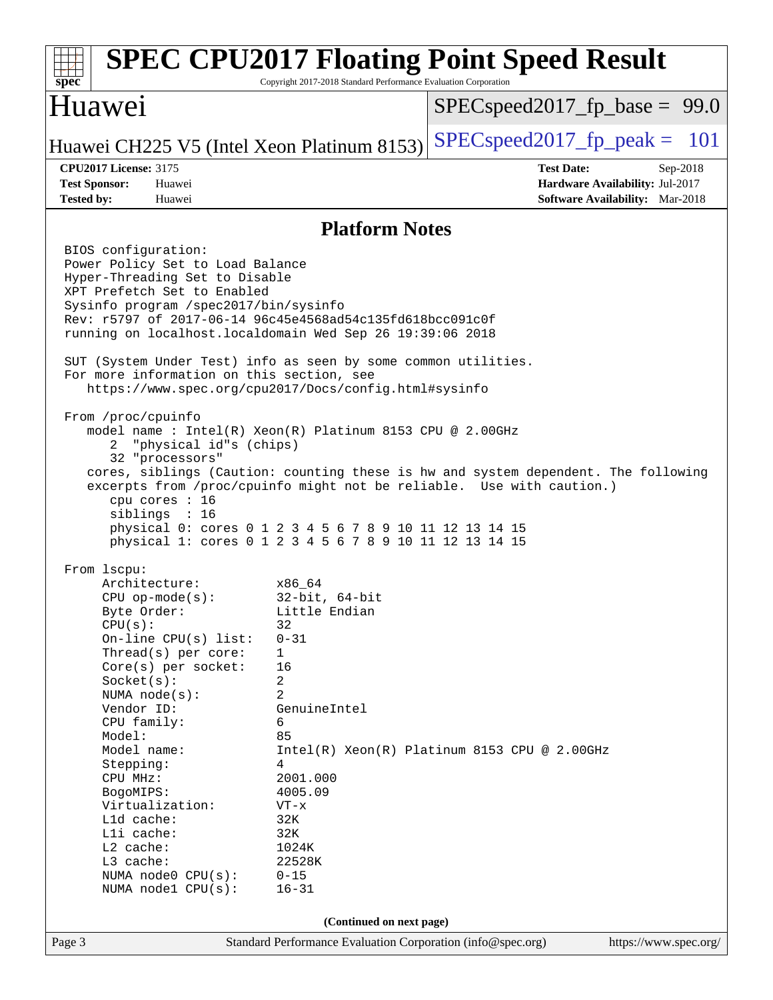| spec                                                                                                                                                                                                                                                                                                                                                                                                  | Copyright 2017-2018 Standard Performance Evaluation Corporation                                                                                                                                                     | <b>SPEC CPU2017 Floating Point Speed Result</b>                                                                                                             |  |  |  |
|-------------------------------------------------------------------------------------------------------------------------------------------------------------------------------------------------------------------------------------------------------------------------------------------------------------------------------------------------------------------------------------------------------|---------------------------------------------------------------------------------------------------------------------------------------------------------------------------------------------------------------------|-------------------------------------------------------------------------------------------------------------------------------------------------------------|--|--|--|
| Huawei                                                                                                                                                                                                                                                                                                                                                                                                |                                                                                                                                                                                                                     | $SPEC speed2017_f p\_base = 99.0$                                                                                                                           |  |  |  |
| Huawei CH225 V5 (Intel Xeon Platinum 8153)                                                                                                                                                                                                                                                                                                                                                            |                                                                                                                                                                                                                     | $SPEC speed2017_fp\_peak = 101$                                                                                                                             |  |  |  |
| <b>CPU2017 License: 3175</b><br><b>Test Sponsor:</b><br>Huawei<br><b>Tested by:</b><br>Huawei                                                                                                                                                                                                                                                                                                         |                                                                                                                                                                                                                     | <b>Test Date:</b><br>$Sep-2018$<br>Hardware Availability: Jul-2017<br>Software Availability: Mar-2018                                                       |  |  |  |
|                                                                                                                                                                                                                                                                                                                                                                                                       | <b>Platform Notes</b>                                                                                                                                                                                               |                                                                                                                                                             |  |  |  |
| BIOS configuration:<br>Power Policy Set to Load Balance<br>Hyper-Threading Set to Disable<br>XPT Prefetch Set to Enabled<br>Sysinfo program /spec2017/bin/sysinfo<br>Rev: r5797 of 2017-06-14 96c45e4568ad54c135fd618bcc091c0f<br>running on localhost.localdomain Wed Sep 26 19:39:06 2018                                                                                                           |                                                                                                                                                                                                                     |                                                                                                                                                             |  |  |  |
| SUT (System Under Test) info as seen by some common utilities.<br>For more information on this section, see<br>https://www.spec.org/cpu2017/Docs/config.html#sysinfo                                                                                                                                                                                                                                  |                                                                                                                                                                                                                     |                                                                                                                                                             |  |  |  |
| From /proc/cpuinfo<br>model name: $Intel(R)$ Xeon $(R)$ Platinum 8153 CPU @ 2.00GHz<br>"physical id"s (chips)<br>32 "processors"<br>cpu cores : 16<br>siblings : 16<br>physical 0: cores 0 1 2 3 4 5 6 7 8 9 10 11 12 13 14 15<br>physical 1: cores 0 1 2 3 4 5 6 7 8 9 10 11 12 13 14 15                                                                                                             |                                                                                                                                                                                                                     | cores, siblings (Caution: counting these is hw and system dependent. The following<br>excerpts from /proc/cpuinfo might not be reliable. Use with caution.) |  |  |  |
| From lscpu:<br>Architecture:<br>$CPU$ op-mode( $s$ ):<br>Byte Order:<br>CPU(s):<br>On-line CPU(s) list:<br>Thread(s) per core:<br>Core(s) per socket:<br>Socket(s):<br>NUMA node(s):<br>Vendor ID:<br>CPU family:<br>Model:<br>Model name:<br>Stepping:<br>CPU MHz:<br>BogoMIPS:<br>Virtualization:<br>L1d cache:<br>Lli cache:<br>L2 cache:<br>L3 cache:<br>NUMA node0 CPU(s):<br>NUMA nodel CPU(s): | x86 64<br>$32$ -bit, $64$ -bit<br>Little Endian<br>32<br>$0 - 31$<br>1<br>16<br>2<br>2<br>GenuineIntel<br>6<br>85<br>4<br>2001.000<br>4005.09<br>$VT - x$<br>32K<br>32K<br>1024K<br>22528K<br>$0 - 15$<br>$16 - 31$ | $Intel(R) Xeon(R) Platinum 8153 CPU @ 2.00GHz$                                                                                                              |  |  |  |
| (Continued on next page)                                                                                                                                                                                                                                                                                                                                                                              |                                                                                                                                                                                                                     |                                                                                                                                                             |  |  |  |
| Page 3                                                                                                                                                                                                                                                                                                                                                                                                | Standard Performance Evaluation Corporation (info@spec.org)                                                                                                                                                         | https://www.spec.org/                                                                                                                                       |  |  |  |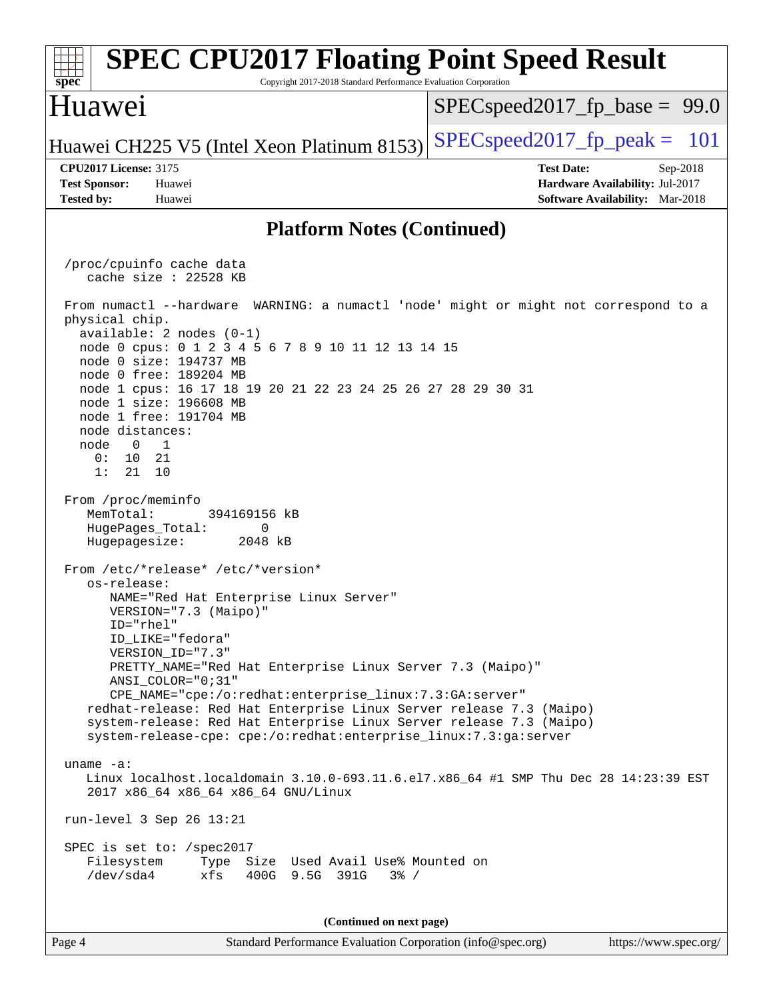| <b>SPEC CPU2017 Floating Point Speed Result</b><br>Copyright 2017-2018 Standard Performance Evaluation Corporation<br>spec                                                                                                                                                                                                                                                                                                                                                                                                                                                                                                                                                                                                                                                                                                                                                                                                                                                                                                                                                                                                                                                                                                                                                                                                                                                                                                                           |                                                                                                       |
|------------------------------------------------------------------------------------------------------------------------------------------------------------------------------------------------------------------------------------------------------------------------------------------------------------------------------------------------------------------------------------------------------------------------------------------------------------------------------------------------------------------------------------------------------------------------------------------------------------------------------------------------------------------------------------------------------------------------------------------------------------------------------------------------------------------------------------------------------------------------------------------------------------------------------------------------------------------------------------------------------------------------------------------------------------------------------------------------------------------------------------------------------------------------------------------------------------------------------------------------------------------------------------------------------------------------------------------------------------------------------------------------------------------------------------------------------|-------------------------------------------------------------------------------------------------------|
| Huawei                                                                                                                                                                                                                                                                                                                                                                                                                                                                                                                                                                                                                                                                                                                                                                                                                                                                                                                                                                                                                                                                                                                                                                                                                                                                                                                                                                                                                                               | $SPEC speed2017_f p\_base = 99.0$                                                                     |
| Huawei CH225 V5 (Intel Xeon Platinum 8153)                                                                                                                                                                                                                                                                                                                                                                                                                                                                                                                                                                                                                                                                                                                                                                                                                                                                                                                                                                                                                                                                                                                                                                                                                                                                                                                                                                                                           | $SPEC speed2017fp peak =$<br><b>101</b>                                                               |
| <b>CPU2017 License: 3175</b><br><b>Test Sponsor:</b><br>Huawei<br><b>Tested by:</b><br>Huawei                                                                                                                                                                                                                                                                                                                                                                                                                                                                                                                                                                                                                                                                                                                                                                                                                                                                                                                                                                                                                                                                                                                                                                                                                                                                                                                                                        | <b>Test Date:</b><br>$Sep-2018$<br>Hardware Availability: Jul-2017<br>Software Availability: Mar-2018 |
| <b>Platform Notes (Continued)</b>                                                                                                                                                                                                                                                                                                                                                                                                                                                                                                                                                                                                                                                                                                                                                                                                                                                                                                                                                                                                                                                                                                                                                                                                                                                                                                                                                                                                                    |                                                                                                       |
| /proc/cpuinfo cache data<br>cache size $: 22528$ KB                                                                                                                                                                                                                                                                                                                                                                                                                                                                                                                                                                                                                                                                                                                                                                                                                                                                                                                                                                                                                                                                                                                                                                                                                                                                                                                                                                                                  |                                                                                                       |
| From numactl --hardware WARNING: a numactl 'node' might or might not correspond to a<br>physical chip.<br>$available: 2 nodes (0-1)$<br>node 0 cpus: 0 1 2 3 4 5 6 7 8 9 10 11 12 13 14 15<br>node 0 size: 194737 MB<br>node 0 free: 189204 MB<br>node 1 cpus: 16 17 18 19 20 21 22 23 24 25 26 27 28 29 30 31<br>node 1 size: 196608 MB<br>node 1 free: 191704 MB<br>node distances:<br>$\overline{0}$<br>$\overline{1}$<br>node<br>0:<br>10<br>21<br>1:<br>21<br>10<br>From /proc/meminfo<br>MemTotal:<br>394169156 kB<br>HugePages_Total:<br>0<br>Hugepagesize:<br>2048 kB<br>From /etc/*release* /etc/*version*<br>os-release:<br>NAME="Red Hat Enterprise Linux Server"<br>VERSION="7.3 (Maipo)"<br>$ID="rhe1"$<br>ID LIKE="fedora"<br>VERSION ID="7.3"<br>PRETTY_NAME="Red Hat Enterprise Linux Server 7.3 (Maipo)"<br>ANSI COLOR="0;31"<br>CPE_NAME="cpe:/o:redhat:enterprise_linux:7.3:GA:server"<br>redhat-release: Red Hat Enterprise Linux Server release 7.3 (Maipo)<br>system-release: Red Hat Enterprise Linux Server release 7.3 (Maipo)<br>system-release-cpe: cpe:/o:redhat:enterprise linux:7.3:qa:server<br>uname $-a$ :<br>Linux localhost.localdomain 3.10.0-693.11.6.el7.x86_64 #1 SMP Thu Dec 28 14:23:39 EST<br>2017 x86_64 x86_64 x86_64 GNU/Linux<br>run-level 3 Sep 26 13:21<br>SPEC is set to: /spec2017<br>Type Size Used Avail Use% Mounted on<br>Filesystem<br>/dev/sda4<br>xfs<br>400G 9.5G 391G<br>$3\frac{6}{9}$ / |                                                                                                       |
| (Continued on next page)                                                                                                                                                                                                                                                                                                                                                                                                                                                                                                                                                                                                                                                                                                                                                                                                                                                                                                                                                                                                                                                                                                                                                                                                                                                                                                                                                                                                                             |                                                                                                       |
| Page 4<br>Standard Performance Evaluation Corporation (info@spec.org)                                                                                                                                                                                                                                                                                                                                                                                                                                                                                                                                                                                                                                                                                                                                                                                                                                                                                                                                                                                                                                                                                                                                                                                                                                                                                                                                                                                | https://www.spec.org/                                                                                 |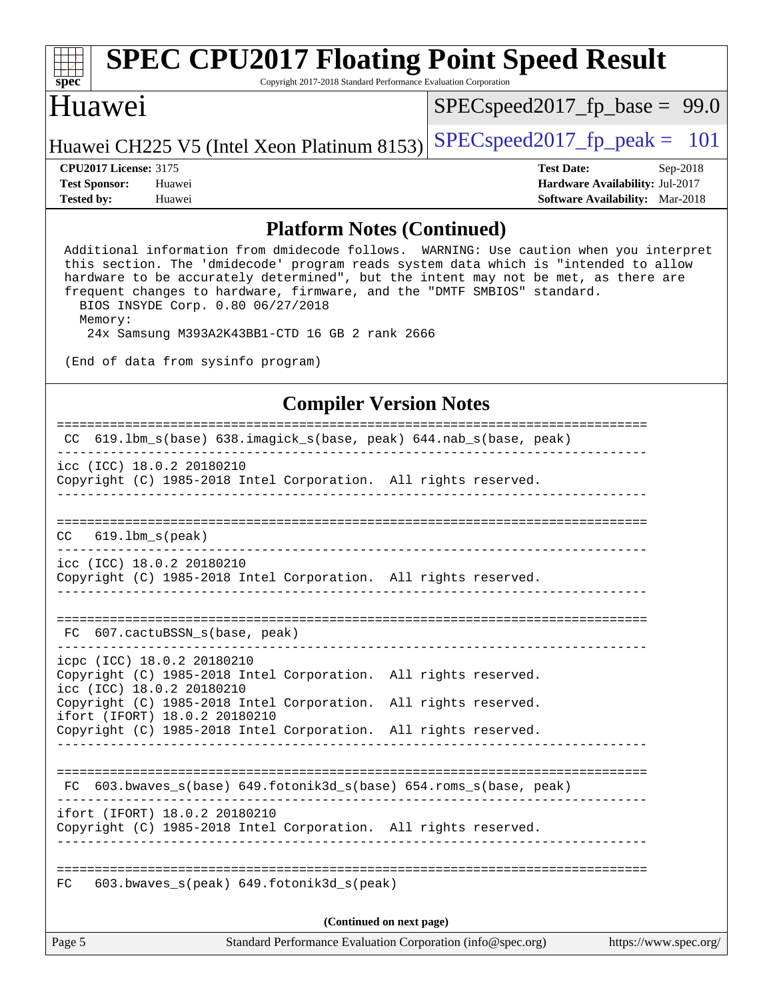| $\overline{\text{spec}^*}$                 |                      |        |  | <b>SPEC CPU2017 Floating Point Speed Result</b><br>Copyright 2017-2018 Standard Performance Evaluation Corporation |  |            |                                        |  |  |
|--------------------------------------------|----------------------|--------|--|--------------------------------------------------------------------------------------------------------------------|--|------------|----------------------------------------|--|--|
| Huawei                                     |                      |        |  | $SPEC speed2017_fp\_base = 99.0$                                                                                   |  |            |                                        |  |  |
| Huawei CH225 V5 (Intel Xeon Platinum 8153) |                      |        |  | $SPEC speed2017_fp\_peak = 101$                                                                                    |  |            |                                        |  |  |
| <b>CPU2017 License: 3175</b>               |                      |        |  | <b>Test Date:</b>                                                                                                  |  | $Sep-2018$ |                                        |  |  |
|                                            | <b>Test Sponsor:</b> | Huawei |  |                                                                                                                    |  |            | Hardware Availability: Jul-2017        |  |  |
| <b>Tested by:</b>                          |                      | Huawei |  |                                                                                                                    |  |            | <b>Software Availability:</b> Mar-2018 |  |  |
|                                            |                      |        |  |                                                                                                                    |  |            |                                        |  |  |

### **[Platform Notes \(Continued\)](http://www.spec.org/auto/cpu2017/Docs/result-fields.html#PlatformNotes)**

 Additional information from dmidecode follows. WARNING: Use caution when you interpret this section. The 'dmidecode' program reads system data which is "intended to allow hardware to be accurately determined", but the intent may not be met, as there are frequent changes to hardware, firmware, and the "DMTF SMBIOS" standard. BIOS INSYDE Corp. 0.80 06/27/2018 Memory: 24x Samsung M393A2K43BB1-CTD 16 GB 2 rank 2666

(End of data from sysinfo program)

### **[Compiler Version Notes](http://www.spec.org/auto/cpu2017/Docs/result-fields.html#CompilerVersionNotes)**

| $619.1 \text{bm}\text{-} \text{s}$ (base) $638. \text{imagick}\text{-} \text{s}$ (base, peak) $644. \text{nab}\text{-} \text{s}$ (base, peak)<br>CC. |
|------------------------------------------------------------------------------------------------------------------------------------------------------|
| icc (ICC) 18.0.2 20180210<br>Copyright (C) 1985-2018 Intel Corporation. All rights reserved.                                                         |
|                                                                                                                                                      |
| $619.1$ bm_s(peak)<br>CC.                                                                                                                            |
| icc (ICC) 18.0.2 20180210<br>Copyright (C) 1985-2018 Intel Corporation. All rights reserved.                                                         |
| 607.cactuBSSN_s(base, peak)<br>FC.                                                                                                                   |
| icpc (ICC) 18.0.2 20180210<br>Copyright (C) 1985-2018 Intel Corporation. All rights reserved.<br>icc (ICC) 18.0.2 20180210                           |
| Copyright (C) 1985-2018 Intel Corporation. All rights reserved.<br>ifort (IFORT) 18.0.2 20180210                                                     |
| Copyright (C) 1985-2018 Intel Corporation. All rights reserved.                                                                                      |
| 603.bwaves_s(base) 649.fotonik3d_s(base) 654.roms_s(base, peak)<br>FC                                                                                |
| ifort (IFORT) 18.0.2 20180210<br>Copyright (C) 1985-2018 Intel Corporation. All rights reserved.                                                     |
| 603.bwaves_s(peak) 649.fotonik3d_s(peak)<br>FC                                                                                                       |
| (Continued on next page)                                                                                                                             |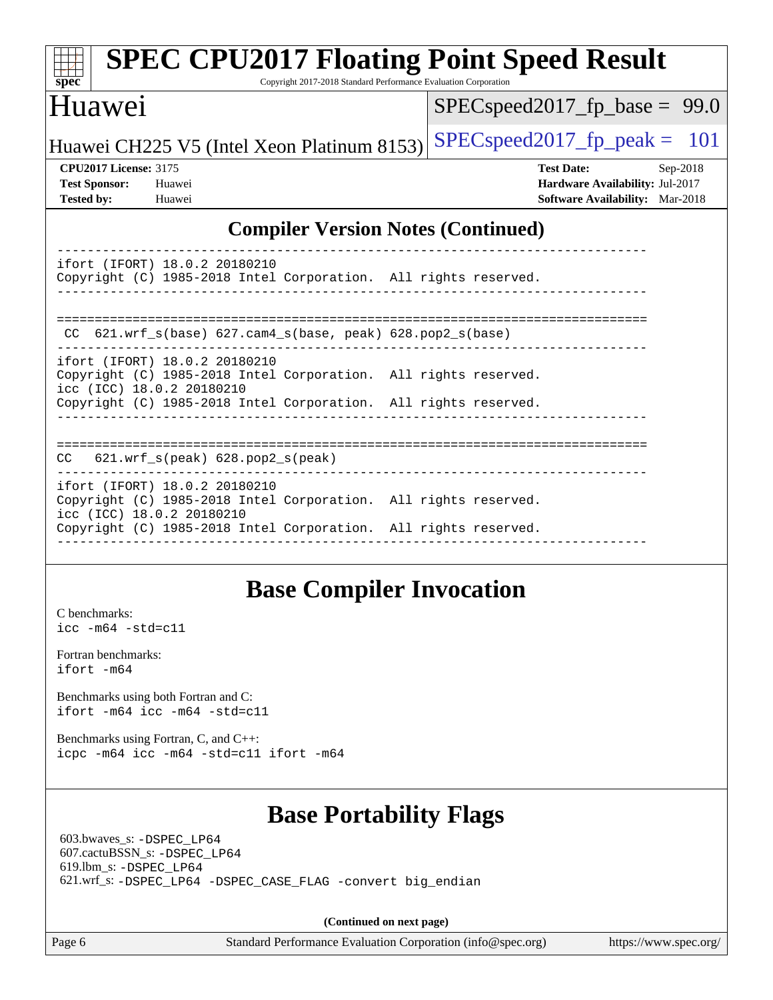| <b>SPEC CPU2017 Floating Point Speed Result</b><br>Copyright 2017-2018 Standard Performance Evaluation Corporation<br>$spec^*$                                                                   |                                                                                                              |
|--------------------------------------------------------------------------------------------------------------------------------------------------------------------------------------------------|--------------------------------------------------------------------------------------------------------------|
| Huawei                                                                                                                                                                                           | $SPEC speed2017_f p\_base = 99.0$                                                                            |
| Huawei CH225 V5 (Intel Xeon Platinum 8153)                                                                                                                                                       | $SPEC speed2017_fp\_peak = 101$                                                                              |
| <b>CPU2017 License: 3175</b><br><b>Test Sponsor:</b><br>Huawei<br><b>Tested by:</b><br>Huawei                                                                                                    | <b>Test Date:</b><br>$Sep-2018$<br>Hardware Availability: Jul-2017<br><b>Software Availability:</b> Mar-2018 |
| <b>Compiler Version Notes (Continued)</b>                                                                                                                                                        |                                                                                                              |
| ifort (IFORT) 18.0.2 20180210<br>Copyright (C) 1985-2018 Intel Corporation. All rights reserved.                                                                                                 |                                                                                                              |
| $CC$ 621.wrf_s(base) 627.cam4_s(base, peak) 628.pop2_s(base)                                                                                                                                     |                                                                                                              |
| ifort (IFORT) 18.0.2 20180210<br>Copyright (C) 1985-2018 Intel Corporation. All rights reserved.<br>icc (ICC) 18.0.2 20180210<br>Copyright (C) 1985-2018 Intel Corporation. All rights reserved. |                                                                                                              |
| $621.wrf_s(peak)$ $628.pop2_s(peak)$<br>CC                                                                                                                                                       |                                                                                                              |
| ifort (IFORT) 18.0.2 20180210<br>Copyright (C) 1985-2018 Intel Corporation. All rights reserved.<br>icc (ICC) 18.0.2 20180210<br>Copyright (C) 1985-2018 Intel Corporation. All rights reserved. |                                                                                                              |

#### ------------------------------------------------------------------------------

### **[Base Compiler Invocation](http://www.spec.org/auto/cpu2017/Docs/result-fields.html#BaseCompilerInvocation)**

[C benchmarks](http://www.spec.org/auto/cpu2017/Docs/result-fields.html#Cbenchmarks): [icc -m64 -std=c11](http://www.spec.org/cpu2017/results/res2018q4/cpu2017-20180927-08951.flags.html#user_CCbase_intel_icc_64bit_c11_33ee0cdaae7deeeab2a9725423ba97205ce30f63b9926c2519791662299b76a0318f32ddfffdc46587804de3178b4f9328c46fa7c2b0cd779d7a61945c91cd35)

[Fortran benchmarks](http://www.spec.org/auto/cpu2017/Docs/result-fields.html#Fortranbenchmarks): [ifort -m64](http://www.spec.org/cpu2017/results/res2018q4/cpu2017-20180927-08951.flags.html#user_FCbase_intel_ifort_64bit_24f2bb282fbaeffd6157abe4f878425411749daecae9a33200eee2bee2fe76f3b89351d69a8130dd5949958ce389cf37ff59a95e7a40d588e8d3a57e0c3fd751)

[Benchmarks using both Fortran and C](http://www.spec.org/auto/cpu2017/Docs/result-fields.html#BenchmarksusingbothFortranandC): [ifort -m64](http://www.spec.org/cpu2017/results/res2018q4/cpu2017-20180927-08951.flags.html#user_CC_FCbase_intel_ifort_64bit_24f2bb282fbaeffd6157abe4f878425411749daecae9a33200eee2bee2fe76f3b89351d69a8130dd5949958ce389cf37ff59a95e7a40d588e8d3a57e0c3fd751) [icc -m64 -std=c11](http://www.spec.org/cpu2017/results/res2018q4/cpu2017-20180927-08951.flags.html#user_CC_FCbase_intel_icc_64bit_c11_33ee0cdaae7deeeab2a9725423ba97205ce30f63b9926c2519791662299b76a0318f32ddfffdc46587804de3178b4f9328c46fa7c2b0cd779d7a61945c91cd35)

[Benchmarks using Fortran, C, and C++:](http://www.spec.org/auto/cpu2017/Docs/result-fields.html#BenchmarksusingFortranCandCXX) [icpc -m64](http://www.spec.org/cpu2017/results/res2018q4/cpu2017-20180927-08951.flags.html#user_CC_CXX_FCbase_intel_icpc_64bit_4ecb2543ae3f1412ef961e0650ca070fec7b7afdcd6ed48761b84423119d1bf6bdf5cad15b44d48e7256388bc77273b966e5eb805aefd121eb22e9299b2ec9d9) [icc -m64 -std=c11](http://www.spec.org/cpu2017/results/res2018q4/cpu2017-20180927-08951.flags.html#user_CC_CXX_FCbase_intel_icc_64bit_c11_33ee0cdaae7deeeab2a9725423ba97205ce30f63b9926c2519791662299b76a0318f32ddfffdc46587804de3178b4f9328c46fa7c2b0cd779d7a61945c91cd35) [ifort -m64](http://www.spec.org/cpu2017/results/res2018q4/cpu2017-20180927-08951.flags.html#user_CC_CXX_FCbase_intel_ifort_64bit_24f2bb282fbaeffd6157abe4f878425411749daecae9a33200eee2bee2fe76f3b89351d69a8130dd5949958ce389cf37ff59a95e7a40d588e8d3a57e0c3fd751)

### **[Base Portability Flags](http://www.spec.org/auto/cpu2017/Docs/result-fields.html#BasePortabilityFlags)**

 603.bwaves\_s: [-DSPEC\\_LP64](http://www.spec.org/cpu2017/results/res2018q4/cpu2017-20180927-08951.flags.html#suite_basePORTABILITY603_bwaves_s_DSPEC_LP64) 607.cactuBSSN\_s: [-DSPEC\\_LP64](http://www.spec.org/cpu2017/results/res2018q4/cpu2017-20180927-08951.flags.html#suite_basePORTABILITY607_cactuBSSN_s_DSPEC_LP64) 619.lbm\_s: [-DSPEC\\_LP64](http://www.spec.org/cpu2017/results/res2018q4/cpu2017-20180927-08951.flags.html#suite_basePORTABILITY619_lbm_s_DSPEC_LP64) 621.wrf\_s: [-DSPEC\\_LP64](http://www.spec.org/cpu2017/results/res2018q4/cpu2017-20180927-08951.flags.html#suite_basePORTABILITY621_wrf_s_DSPEC_LP64) [-DSPEC\\_CASE\\_FLAG](http://www.spec.org/cpu2017/results/res2018q4/cpu2017-20180927-08951.flags.html#b621.wrf_s_baseCPORTABILITY_DSPEC_CASE_FLAG) [-convert big\\_endian](http://www.spec.org/cpu2017/results/res2018q4/cpu2017-20180927-08951.flags.html#user_baseFPORTABILITY621_wrf_s_convert_big_endian_c3194028bc08c63ac5d04de18c48ce6d347e4e562e8892b8bdbdc0214820426deb8554edfa529a3fb25a586e65a3d812c835984020483e7e73212c4d31a38223)

**(Continued on next page)**

Page 6 Standard Performance Evaluation Corporation [\(info@spec.org\)](mailto:info@spec.org) <https://www.spec.org/>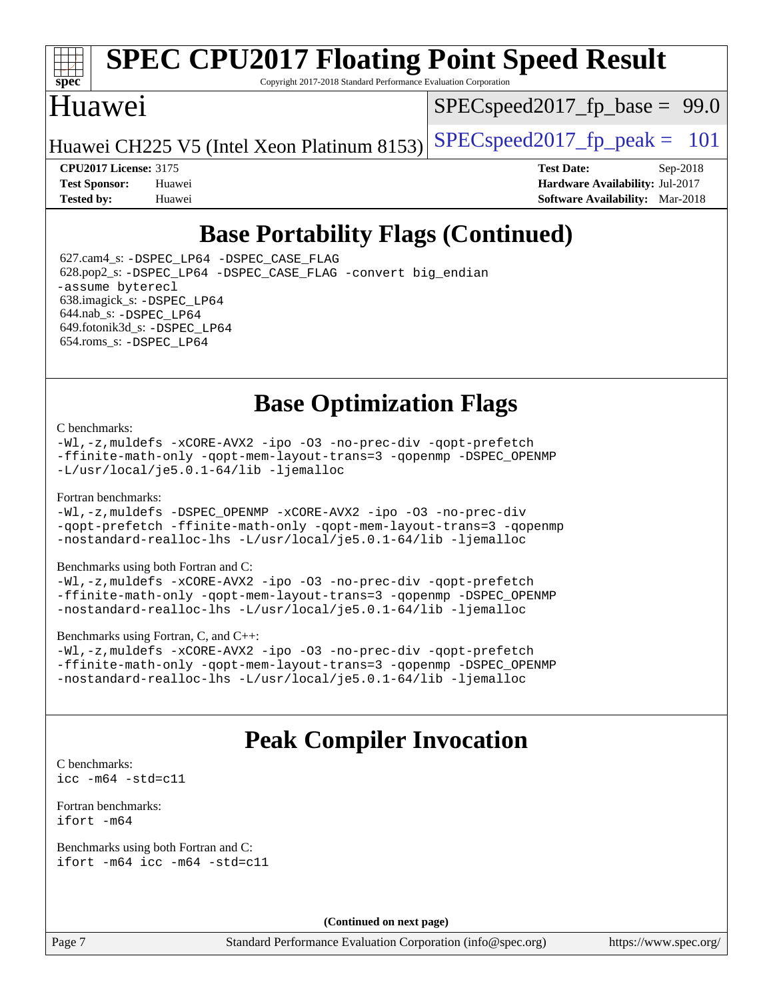

# **[SPEC CPU2017 Floating Point Speed Result](http://www.spec.org/auto/cpu2017/Docs/result-fields.html#SPECCPU2017FloatingPointSpeedResult)**

Copyright 2017-2018 Standard Performance Evaluation Corporation

### Huawei

 $SPECspeed2017_fp_base = 99.0$  $SPECspeed2017_fp_base = 99.0$ 

Huawei CH225 V5 (Intel Xeon Platinum 8153) [SPECspeed2017\\_fp\\_peak =](http://www.spec.org/auto/cpu2017/Docs/result-fields.html#SPECspeed2017fppeak)  $101$ 

**[CPU2017 License:](http://www.spec.org/auto/cpu2017/Docs/result-fields.html#CPU2017License)** 3175 **[Test Date:](http://www.spec.org/auto/cpu2017/Docs/result-fields.html#TestDate)** Sep-2018 **[Test Sponsor:](http://www.spec.org/auto/cpu2017/Docs/result-fields.html#TestSponsor)** Huawei **[Hardware Availability:](http://www.spec.org/auto/cpu2017/Docs/result-fields.html#HardwareAvailability)** Jul-2017 **[Tested by:](http://www.spec.org/auto/cpu2017/Docs/result-fields.html#Testedby)** Huawei **[Software Availability:](http://www.spec.org/auto/cpu2017/Docs/result-fields.html#SoftwareAvailability)** Mar-2018

## **[Base Portability Flags \(Continued\)](http://www.spec.org/auto/cpu2017/Docs/result-fields.html#BasePortabilityFlags)**

 627.cam4\_s: [-DSPEC\\_LP64](http://www.spec.org/cpu2017/results/res2018q4/cpu2017-20180927-08951.flags.html#suite_basePORTABILITY627_cam4_s_DSPEC_LP64) [-DSPEC\\_CASE\\_FLAG](http://www.spec.org/cpu2017/results/res2018q4/cpu2017-20180927-08951.flags.html#b627.cam4_s_baseCPORTABILITY_DSPEC_CASE_FLAG) 628.pop2\_s: [-DSPEC\\_LP64](http://www.spec.org/cpu2017/results/res2018q4/cpu2017-20180927-08951.flags.html#suite_basePORTABILITY628_pop2_s_DSPEC_LP64) [-DSPEC\\_CASE\\_FLAG](http://www.spec.org/cpu2017/results/res2018q4/cpu2017-20180927-08951.flags.html#b628.pop2_s_baseCPORTABILITY_DSPEC_CASE_FLAG) [-convert big\\_endian](http://www.spec.org/cpu2017/results/res2018q4/cpu2017-20180927-08951.flags.html#user_baseFPORTABILITY628_pop2_s_convert_big_endian_c3194028bc08c63ac5d04de18c48ce6d347e4e562e8892b8bdbdc0214820426deb8554edfa529a3fb25a586e65a3d812c835984020483e7e73212c4d31a38223) [-assume byterecl](http://www.spec.org/cpu2017/results/res2018q4/cpu2017-20180927-08951.flags.html#user_baseFPORTABILITY628_pop2_s_assume_byterecl_7e47d18b9513cf18525430bbf0f2177aa9bf368bc7a059c09b2c06a34b53bd3447c950d3f8d6c70e3faf3a05c8557d66a5798b567902e8849adc142926523472) 638.imagick\_s: [-DSPEC\\_LP64](http://www.spec.org/cpu2017/results/res2018q4/cpu2017-20180927-08951.flags.html#suite_basePORTABILITY638_imagick_s_DSPEC_LP64) 644.nab\_s: [-DSPEC\\_LP64](http://www.spec.org/cpu2017/results/res2018q4/cpu2017-20180927-08951.flags.html#suite_basePORTABILITY644_nab_s_DSPEC_LP64) 649.fotonik3d\_s: [-DSPEC\\_LP64](http://www.spec.org/cpu2017/results/res2018q4/cpu2017-20180927-08951.flags.html#suite_basePORTABILITY649_fotonik3d_s_DSPEC_LP64) 654.roms\_s: [-DSPEC\\_LP64](http://www.spec.org/cpu2017/results/res2018q4/cpu2017-20180927-08951.flags.html#suite_basePORTABILITY654_roms_s_DSPEC_LP64)

## **[Base Optimization Flags](http://www.spec.org/auto/cpu2017/Docs/result-fields.html#BaseOptimizationFlags)**

#### [C benchmarks](http://www.spec.org/auto/cpu2017/Docs/result-fields.html#Cbenchmarks):

[-Wl,-z,muldefs](http://www.spec.org/cpu2017/results/res2018q4/cpu2017-20180927-08951.flags.html#user_CCbase_link_force_multiple1_b4cbdb97b34bdee9ceefcfe54f4c8ea74255f0b02a4b23e853cdb0e18eb4525ac79b5a88067c842dd0ee6996c24547a27a4b99331201badda8798ef8a743f577) [-xCORE-AVX2](http://www.spec.org/cpu2017/results/res2018q4/cpu2017-20180927-08951.flags.html#user_CCbase_f-xCORE-AVX2) [-ipo](http://www.spec.org/cpu2017/results/res2018q4/cpu2017-20180927-08951.flags.html#user_CCbase_f-ipo) [-O3](http://www.spec.org/cpu2017/results/res2018q4/cpu2017-20180927-08951.flags.html#user_CCbase_f-O3) [-no-prec-div](http://www.spec.org/cpu2017/results/res2018q4/cpu2017-20180927-08951.flags.html#user_CCbase_f-no-prec-div) [-qopt-prefetch](http://www.spec.org/cpu2017/results/res2018q4/cpu2017-20180927-08951.flags.html#user_CCbase_f-qopt-prefetch) [-ffinite-math-only](http://www.spec.org/cpu2017/results/res2018q4/cpu2017-20180927-08951.flags.html#user_CCbase_f_finite_math_only_cb91587bd2077682c4b38af759c288ed7c732db004271a9512da14a4f8007909a5f1427ecbf1a0fb78ff2a814402c6114ac565ca162485bbcae155b5e4258871) [-qopt-mem-layout-trans=3](http://www.spec.org/cpu2017/results/res2018q4/cpu2017-20180927-08951.flags.html#user_CCbase_f-qopt-mem-layout-trans_de80db37974c74b1f0e20d883f0b675c88c3b01e9d123adea9b28688d64333345fb62bc4a798493513fdb68f60282f9a726aa07f478b2f7113531aecce732043) [-qopenmp](http://www.spec.org/cpu2017/results/res2018q4/cpu2017-20180927-08951.flags.html#user_CCbase_qopenmp_16be0c44f24f464004c6784a7acb94aca937f053568ce72f94b139a11c7c168634a55f6653758ddd83bcf7b8463e8028bb0b48b77bcddc6b78d5d95bb1df2967) [-DSPEC\\_OPENMP](http://www.spec.org/cpu2017/results/res2018q4/cpu2017-20180927-08951.flags.html#suite_CCbase_DSPEC_OPENMP) [-L/usr/local/je5.0.1-64/lib](http://www.spec.org/cpu2017/results/res2018q4/cpu2017-20180927-08951.flags.html#user_CCbase_jemalloc_link_path64_4b10a636b7bce113509b17f3bd0d6226c5fb2346b9178c2d0232c14f04ab830f976640479e5c33dc2bcbbdad86ecfb6634cbbd4418746f06f368b512fced5394) [-ljemalloc](http://www.spec.org/cpu2017/results/res2018q4/cpu2017-20180927-08951.flags.html#user_CCbase_jemalloc_link_lib_d1249b907c500fa1c0672f44f562e3d0f79738ae9e3c4a9c376d49f265a04b9c99b167ecedbf6711b3085be911c67ff61f150a17b3472be731631ba4d0471706)

#### [Fortran benchmarks](http://www.spec.org/auto/cpu2017/Docs/result-fields.html#Fortranbenchmarks):

[-Wl,-z,muldefs](http://www.spec.org/cpu2017/results/res2018q4/cpu2017-20180927-08951.flags.html#user_FCbase_link_force_multiple1_b4cbdb97b34bdee9ceefcfe54f4c8ea74255f0b02a4b23e853cdb0e18eb4525ac79b5a88067c842dd0ee6996c24547a27a4b99331201badda8798ef8a743f577) [-DSPEC\\_OPENMP](http://www.spec.org/cpu2017/results/res2018q4/cpu2017-20180927-08951.flags.html#suite_FCbase_DSPEC_OPENMP) [-xCORE-AVX2](http://www.spec.org/cpu2017/results/res2018q4/cpu2017-20180927-08951.flags.html#user_FCbase_f-xCORE-AVX2) [-ipo](http://www.spec.org/cpu2017/results/res2018q4/cpu2017-20180927-08951.flags.html#user_FCbase_f-ipo) [-O3](http://www.spec.org/cpu2017/results/res2018q4/cpu2017-20180927-08951.flags.html#user_FCbase_f-O3) [-no-prec-div](http://www.spec.org/cpu2017/results/res2018q4/cpu2017-20180927-08951.flags.html#user_FCbase_f-no-prec-div) [-qopt-prefetch](http://www.spec.org/cpu2017/results/res2018q4/cpu2017-20180927-08951.flags.html#user_FCbase_f-qopt-prefetch) [-ffinite-math-only](http://www.spec.org/cpu2017/results/res2018q4/cpu2017-20180927-08951.flags.html#user_FCbase_f_finite_math_only_cb91587bd2077682c4b38af759c288ed7c732db004271a9512da14a4f8007909a5f1427ecbf1a0fb78ff2a814402c6114ac565ca162485bbcae155b5e4258871) [-qopt-mem-layout-trans=3](http://www.spec.org/cpu2017/results/res2018q4/cpu2017-20180927-08951.flags.html#user_FCbase_f-qopt-mem-layout-trans_de80db37974c74b1f0e20d883f0b675c88c3b01e9d123adea9b28688d64333345fb62bc4a798493513fdb68f60282f9a726aa07f478b2f7113531aecce732043) [-qopenmp](http://www.spec.org/cpu2017/results/res2018q4/cpu2017-20180927-08951.flags.html#user_FCbase_qopenmp_16be0c44f24f464004c6784a7acb94aca937f053568ce72f94b139a11c7c168634a55f6653758ddd83bcf7b8463e8028bb0b48b77bcddc6b78d5d95bb1df2967) [-nostandard-realloc-lhs](http://www.spec.org/cpu2017/results/res2018q4/cpu2017-20180927-08951.flags.html#user_FCbase_f_2003_std_realloc_82b4557e90729c0f113870c07e44d33d6f5a304b4f63d4c15d2d0f1fab99f5daaed73bdb9275d9ae411527f28b936061aa8b9c8f2d63842963b95c9dd6426b8a) [-L/usr/local/je5.0.1-64/lib](http://www.spec.org/cpu2017/results/res2018q4/cpu2017-20180927-08951.flags.html#user_FCbase_jemalloc_link_path64_4b10a636b7bce113509b17f3bd0d6226c5fb2346b9178c2d0232c14f04ab830f976640479e5c33dc2bcbbdad86ecfb6634cbbd4418746f06f368b512fced5394) [-ljemalloc](http://www.spec.org/cpu2017/results/res2018q4/cpu2017-20180927-08951.flags.html#user_FCbase_jemalloc_link_lib_d1249b907c500fa1c0672f44f562e3d0f79738ae9e3c4a9c376d49f265a04b9c99b167ecedbf6711b3085be911c67ff61f150a17b3472be731631ba4d0471706)

#### [Benchmarks using both Fortran and C](http://www.spec.org/auto/cpu2017/Docs/result-fields.html#BenchmarksusingbothFortranandC):

[-Wl,-z,muldefs](http://www.spec.org/cpu2017/results/res2018q4/cpu2017-20180927-08951.flags.html#user_CC_FCbase_link_force_multiple1_b4cbdb97b34bdee9ceefcfe54f4c8ea74255f0b02a4b23e853cdb0e18eb4525ac79b5a88067c842dd0ee6996c24547a27a4b99331201badda8798ef8a743f577) [-xCORE-AVX2](http://www.spec.org/cpu2017/results/res2018q4/cpu2017-20180927-08951.flags.html#user_CC_FCbase_f-xCORE-AVX2) [-ipo](http://www.spec.org/cpu2017/results/res2018q4/cpu2017-20180927-08951.flags.html#user_CC_FCbase_f-ipo) [-O3](http://www.spec.org/cpu2017/results/res2018q4/cpu2017-20180927-08951.flags.html#user_CC_FCbase_f-O3) [-no-prec-div](http://www.spec.org/cpu2017/results/res2018q4/cpu2017-20180927-08951.flags.html#user_CC_FCbase_f-no-prec-div) [-qopt-prefetch](http://www.spec.org/cpu2017/results/res2018q4/cpu2017-20180927-08951.flags.html#user_CC_FCbase_f-qopt-prefetch) [-ffinite-math-only](http://www.spec.org/cpu2017/results/res2018q4/cpu2017-20180927-08951.flags.html#user_CC_FCbase_f_finite_math_only_cb91587bd2077682c4b38af759c288ed7c732db004271a9512da14a4f8007909a5f1427ecbf1a0fb78ff2a814402c6114ac565ca162485bbcae155b5e4258871) [-qopt-mem-layout-trans=3](http://www.spec.org/cpu2017/results/res2018q4/cpu2017-20180927-08951.flags.html#user_CC_FCbase_f-qopt-mem-layout-trans_de80db37974c74b1f0e20d883f0b675c88c3b01e9d123adea9b28688d64333345fb62bc4a798493513fdb68f60282f9a726aa07f478b2f7113531aecce732043) [-qopenmp](http://www.spec.org/cpu2017/results/res2018q4/cpu2017-20180927-08951.flags.html#user_CC_FCbase_qopenmp_16be0c44f24f464004c6784a7acb94aca937f053568ce72f94b139a11c7c168634a55f6653758ddd83bcf7b8463e8028bb0b48b77bcddc6b78d5d95bb1df2967) [-DSPEC\\_OPENMP](http://www.spec.org/cpu2017/results/res2018q4/cpu2017-20180927-08951.flags.html#suite_CC_FCbase_DSPEC_OPENMP) [-nostandard-realloc-lhs](http://www.spec.org/cpu2017/results/res2018q4/cpu2017-20180927-08951.flags.html#user_CC_FCbase_f_2003_std_realloc_82b4557e90729c0f113870c07e44d33d6f5a304b4f63d4c15d2d0f1fab99f5daaed73bdb9275d9ae411527f28b936061aa8b9c8f2d63842963b95c9dd6426b8a) [-L/usr/local/je5.0.1-64/lib](http://www.spec.org/cpu2017/results/res2018q4/cpu2017-20180927-08951.flags.html#user_CC_FCbase_jemalloc_link_path64_4b10a636b7bce113509b17f3bd0d6226c5fb2346b9178c2d0232c14f04ab830f976640479e5c33dc2bcbbdad86ecfb6634cbbd4418746f06f368b512fced5394) [-ljemalloc](http://www.spec.org/cpu2017/results/res2018q4/cpu2017-20180927-08951.flags.html#user_CC_FCbase_jemalloc_link_lib_d1249b907c500fa1c0672f44f562e3d0f79738ae9e3c4a9c376d49f265a04b9c99b167ecedbf6711b3085be911c67ff61f150a17b3472be731631ba4d0471706)

#### [Benchmarks using Fortran, C, and C++:](http://www.spec.org/auto/cpu2017/Docs/result-fields.html#BenchmarksusingFortranCandCXX)

[-Wl,-z,muldefs](http://www.spec.org/cpu2017/results/res2018q4/cpu2017-20180927-08951.flags.html#user_CC_CXX_FCbase_link_force_multiple1_b4cbdb97b34bdee9ceefcfe54f4c8ea74255f0b02a4b23e853cdb0e18eb4525ac79b5a88067c842dd0ee6996c24547a27a4b99331201badda8798ef8a743f577) [-xCORE-AVX2](http://www.spec.org/cpu2017/results/res2018q4/cpu2017-20180927-08951.flags.html#user_CC_CXX_FCbase_f-xCORE-AVX2) [-ipo](http://www.spec.org/cpu2017/results/res2018q4/cpu2017-20180927-08951.flags.html#user_CC_CXX_FCbase_f-ipo) [-O3](http://www.spec.org/cpu2017/results/res2018q4/cpu2017-20180927-08951.flags.html#user_CC_CXX_FCbase_f-O3) [-no-prec-div](http://www.spec.org/cpu2017/results/res2018q4/cpu2017-20180927-08951.flags.html#user_CC_CXX_FCbase_f-no-prec-div) [-qopt-prefetch](http://www.spec.org/cpu2017/results/res2018q4/cpu2017-20180927-08951.flags.html#user_CC_CXX_FCbase_f-qopt-prefetch) [-ffinite-math-only](http://www.spec.org/cpu2017/results/res2018q4/cpu2017-20180927-08951.flags.html#user_CC_CXX_FCbase_f_finite_math_only_cb91587bd2077682c4b38af759c288ed7c732db004271a9512da14a4f8007909a5f1427ecbf1a0fb78ff2a814402c6114ac565ca162485bbcae155b5e4258871) [-qopt-mem-layout-trans=3](http://www.spec.org/cpu2017/results/res2018q4/cpu2017-20180927-08951.flags.html#user_CC_CXX_FCbase_f-qopt-mem-layout-trans_de80db37974c74b1f0e20d883f0b675c88c3b01e9d123adea9b28688d64333345fb62bc4a798493513fdb68f60282f9a726aa07f478b2f7113531aecce732043) [-qopenmp](http://www.spec.org/cpu2017/results/res2018q4/cpu2017-20180927-08951.flags.html#user_CC_CXX_FCbase_qopenmp_16be0c44f24f464004c6784a7acb94aca937f053568ce72f94b139a11c7c168634a55f6653758ddd83bcf7b8463e8028bb0b48b77bcddc6b78d5d95bb1df2967) [-DSPEC\\_OPENMP](http://www.spec.org/cpu2017/results/res2018q4/cpu2017-20180927-08951.flags.html#suite_CC_CXX_FCbase_DSPEC_OPENMP) [-nostandard-realloc-lhs](http://www.spec.org/cpu2017/results/res2018q4/cpu2017-20180927-08951.flags.html#user_CC_CXX_FCbase_f_2003_std_realloc_82b4557e90729c0f113870c07e44d33d6f5a304b4f63d4c15d2d0f1fab99f5daaed73bdb9275d9ae411527f28b936061aa8b9c8f2d63842963b95c9dd6426b8a) [-L/usr/local/je5.0.1-64/lib](http://www.spec.org/cpu2017/results/res2018q4/cpu2017-20180927-08951.flags.html#user_CC_CXX_FCbase_jemalloc_link_path64_4b10a636b7bce113509b17f3bd0d6226c5fb2346b9178c2d0232c14f04ab830f976640479e5c33dc2bcbbdad86ecfb6634cbbd4418746f06f368b512fced5394) [-ljemalloc](http://www.spec.org/cpu2017/results/res2018q4/cpu2017-20180927-08951.flags.html#user_CC_CXX_FCbase_jemalloc_link_lib_d1249b907c500fa1c0672f44f562e3d0f79738ae9e3c4a9c376d49f265a04b9c99b167ecedbf6711b3085be911c67ff61f150a17b3472be731631ba4d0471706)

### **[Peak Compiler Invocation](http://www.spec.org/auto/cpu2017/Docs/result-fields.html#PeakCompilerInvocation)**

[C benchmarks](http://www.spec.org/auto/cpu2017/Docs/result-fields.html#Cbenchmarks): [icc -m64 -std=c11](http://www.spec.org/cpu2017/results/res2018q4/cpu2017-20180927-08951.flags.html#user_CCpeak_intel_icc_64bit_c11_33ee0cdaae7deeeab2a9725423ba97205ce30f63b9926c2519791662299b76a0318f32ddfffdc46587804de3178b4f9328c46fa7c2b0cd779d7a61945c91cd35)

[Fortran benchmarks](http://www.spec.org/auto/cpu2017/Docs/result-fields.html#Fortranbenchmarks): [ifort -m64](http://www.spec.org/cpu2017/results/res2018q4/cpu2017-20180927-08951.flags.html#user_FCpeak_intel_ifort_64bit_24f2bb282fbaeffd6157abe4f878425411749daecae9a33200eee2bee2fe76f3b89351d69a8130dd5949958ce389cf37ff59a95e7a40d588e8d3a57e0c3fd751)

[Benchmarks using both Fortran and C](http://www.spec.org/auto/cpu2017/Docs/result-fields.html#BenchmarksusingbothFortranandC): [ifort -m64](http://www.spec.org/cpu2017/results/res2018q4/cpu2017-20180927-08951.flags.html#user_CC_FCpeak_intel_ifort_64bit_24f2bb282fbaeffd6157abe4f878425411749daecae9a33200eee2bee2fe76f3b89351d69a8130dd5949958ce389cf37ff59a95e7a40d588e8d3a57e0c3fd751) [icc -m64 -std=c11](http://www.spec.org/cpu2017/results/res2018q4/cpu2017-20180927-08951.flags.html#user_CC_FCpeak_intel_icc_64bit_c11_33ee0cdaae7deeeab2a9725423ba97205ce30f63b9926c2519791662299b76a0318f32ddfffdc46587804de3178b4f9328c46fa7c2b0cd779d7a61945c91cd35)

**(Continued on next page)**

Page 7 Standard Performance Evaluation Corporation [\(info@spec.org\)](mailto:info@spec.org) <https://www.spec.org/>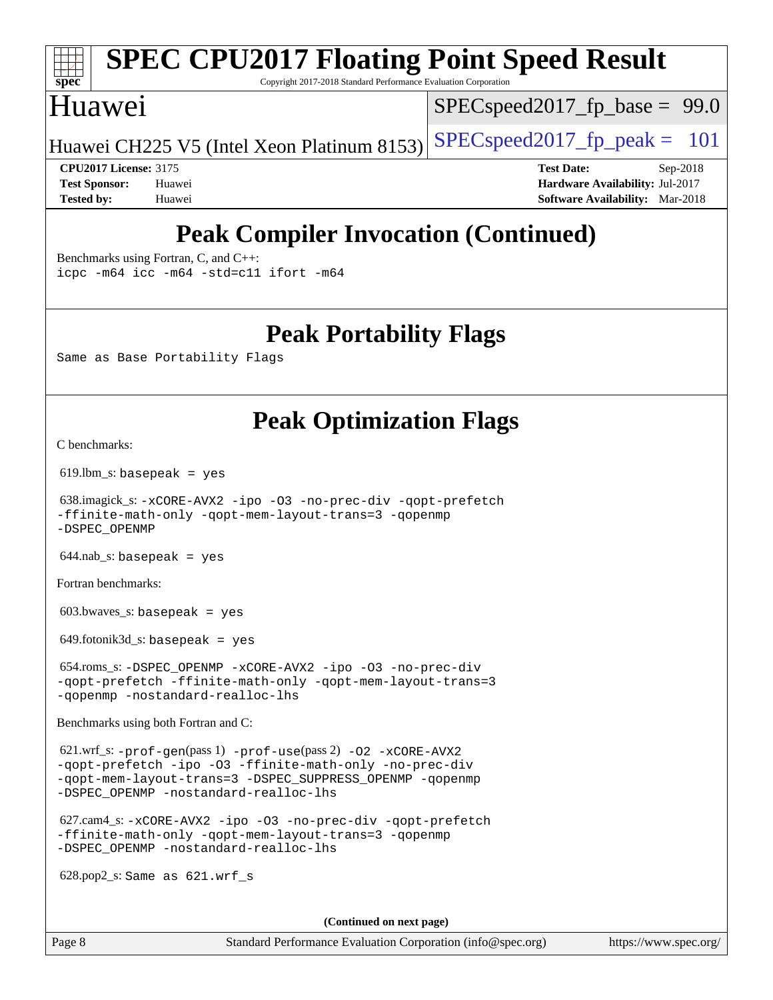### **[spec](http://www.spec.org/) [SPEC CPU2017 Floating Point Speed Result](http://www.spec.org/auto/cpu2017/Docs/result-fields.html#SPECCPU2017FloatingPointSpeedResult)** Copyright 2017-2018 Standard Performance Evaluation Corporation Huawei  $SPECspeed2017_fp_base = 99.0$  $SPECspeed2017_fp_base = 99.0$

**[CPU2017 License:](http://www.spec.org/auto/cpu2017/Docs/result-fields.html#CPU2017License)** 3175 **[Test Date:](http://www.spec.org/auto/cpu2017/Docs/result-fields.html#TestDate)** Sep-2018

Huawei CH225 V5 (Intel Xeon Platinum 8153) SPECspeed 2017 fp peak = 101

**[Test Sponsor:](http://www.spec.org/auto/cpu2017/Docs/result-fields.html#TestSponsor)** Huawei **[Hardware Availability:](http://www.spec.org/auto/cpu2017/Docs/result-fields.html#HardwareAvailability)** Jul-2017 **[Tested by:](http://www.spec.org/auto/cpu2017/Docs/result-fields.html#Testedby)** Huawei **[Software Availability:](http://www.spec.org/auto/cpu2017/Docs/result-fields.html#SoftwareAvailability)** Mar-2018

## **[Peak Compiler Invocation \(Continued\)](http://www.spec.org/auto/cpu2017/Docs/result-fields.html#PeakCompilerInvocation)**

[Benchmarks using Fortran, C, and C++:](http://www.spec.org/auto/cpu2017/Docs/result-fields.html#BenchmarksusingFortranCandCXX) [icpc -m64](http://www.spec.org/cpu2017/results/res2018q4/cpu2017-20180927-08951.flags.html#user_CC_CXX_FCpeak_intel_icpc_64bit_4ecb2543ae3f1412ef961e0650ca070fec7b7afdcd6ed48761b84423119d1bf6bdf5cad15b44d48e7256388bc77273b966e5eb805aefd121eb22e9299b2ec9d9) [icc -m64 -std=c11](http://www.spec.org/cpu2017/results/res2018q4/cpu2017-20180927-08951.flags.html#user_CC_CXX_FCpeak_intel_icc_64bit_c11_33ee0cdaae7deeeab2a9725423ba97205ce30f63b9926c2519791662299b76a0318f32ddfffdc46587804de3178b4f9328c46fa7c2b0cd779d7a61945c91cd35) [ifort -m64](http://www.spec.org/cpu2017/results/res2018q4/cpu2017-20180927-08951.flags.html#user_CC_CXX_FCpeak_intel_ifort_64bit_24f2bb282fbaeffd6157abe4f878425411749daecae9a33200eee2bee2fe76f3b89351d69a8130dd5949958ce389cf37ff59a95e7a40d588e8d3a57e0c3fd751)

**[Peak Portability Flags](http://www.spec.org/auto/cpu2017/Docs/result-fields.html#PeakPortabilityFlags)**

Same as Base Portability Flags

### **[Peak Optimization Flags](http://www.spec.org/auto/cpu2017/Docs/result-fields.html#PeakOptimizationFlags)**

[C benchmarks](http://www.spec.org/auto/cpu2017/Docs/result-fields.html#Cbenchmarks):

619.lbm\_s: basepeak = yes

 638.imagick\_s: [-xCORE-AVX2](http://www.spec.org/cpu2017/results/res2018q4/cpu2017-20180927-08951.flags.html#user_peakCOPTIMIZE638_imagick_s_f-xCORE-AVX2) [-ipo](http://www.spec.org/cpu2017/results/res2018q4/cpu2017-20180927-08951.flags.html#user_peakCOPTIMIZE638_imagick_s_f-ipo) [-O3](http://www.spec.org/cpu2017/results/res2018q4/cpu2017-20180927-08951.flags.html#user_peakCOPTIMIZE638_imagick_s_f-O3) [-no-prec-div](http://www.spec.org/cpu2017/results/res2018q4/cpu2017-20180927-08951.flags.html#user_peakCOPTIMIZE638_imagick_s_f-no-prec-div) [-qopt-prefetch](http://www.spec.org/cpu2017/results/res2018q4/cpu2017-20180927-08951.flags.html#user_peakCOPTIMIZE638_imagick_s_f-qopt-prefetch) [-ffinite-math-only](http://www.spec.org/cpu2017/results/res2018q4/cpu2017-20180927-08951.flags.html#user_peakCOPTIMIZE638_imagick_s_f_finite_math_only_cb91587bd2077682c4b38af759c288ed7c732db004271a9512da14a4f8007909a5f1427ecbf1a0fb78ff2a814402c6114ac565ca162485bbcae155b5e4258871) [-qopt-mem-layout-trans=3](http://www.spec.org/cpu2017/results/res2018q4/cpu2017-20180927-08951.flags.html#user_peakCOPTIMIZE638_imagick_s_f-qopt-mem-layout-trans_de80db37974c74b1f0e20d883f0b675c88c3b01e9d123adea9b28688d64333345fb62bc4a798493513fdb68f60282f9a726aa07f478b2f7113531aecce732043) [-qopenmp](http://www.spec.org/cpu2017/results/res2018q4/cpu2017-20180927-08951.flags.html#user_peakCOPTIMIZE638_imagick_s_qopenmp_16be0c44f24f464004c6784a7acb94aca937f053568ce72f94b139a11c7c168634a55f6653758ddd83bcf7b8463e8028bb0b48b77bcddc6b78d5d95bb1df2967) [-DSPEC\\_OPENMP](http://www.spec.org/cpu2017/results/res2018q4/cpu2017-20180927-08951.flags.html#suite_peakCOPTIMIZE638_imagick_s_DSPEC_OPENMP)

 $644$ .nab\_s: basepeak = yes

[Fortran benchmarks](http://www.spec.org/auto/cpu2017/Docs/result-fields.html#Fortranbenchmarks):

603.bwaves\_s: basepeak = yes

 $649.$ fotonik $3d$ <sub>s</sub>: basepeak = yes

 654.roms\_s: [-DSPEC\\_OPENMP](http://www.spec.org/cpu2017/results/res2018q4/cpu2017-20180927-08951.flags.html#suite_peakFOPTIMIZE654_roms_s_DSPEC_OPENMP) [-xCORE-AVX2](http://www.spec.org/cpu2017/results/res2018q4/cpu2017-20180927-08951.flags.html#user_peakFOPTIMIZE654_roms_s_f-xCORE-AVX2) [-ipo](http://www.spec.org/cpu2017/results/res2018q4/cpu2017-20180927-08951.flags.html#user_peakFOPTIMIZE654_roms_s_f-ipo) [-O3](http://www.spec.org/cpu2017/results/res2018q4/cpu2017-20180927-08951.flags.html#user_peakFOPTIMIZE654_roms_s_f-O3) [-no-prec-div](http://www.spec.org/cpu2017/results/res2018q4/cpu2017-20180927-08951.flags.html#user_peakFOPTIMIZE654_roms_s_f-no-prec-div) [-qopt-prefetch](http://www.spec.org/cpu2017/results/res2018q4/cpu2017-20180927-08951.flags.html#user_peakFOPTIMIZE654_roms_s_f-qopt-prefetch) [-ffinite-math-only](http://www.spec.org/cpu2017/results/res2018q4/cpu2017-20180927-08951.flags.html#user_peakFOPTIMIZE654_roms_s_f_finite_math_only_cb91587bd2077682c4b38af759c288ed7c732db004271a9512da14a4f8007909a5f1427ecbf1a0fb78ff2a814402c6114ac565ca162485bbcae155b5e4258871) [-qopt-mem-layout-trans=3](http://www.spec.org/cpu2017/results/res2018q4/cpu2017-20180927-08951.flags.html#user_peakFOPTIMIZE654_roms_s_f-qopt-mem-layout-trans_de80db37974c74b1f0e20d883f0b675c88c3b01e9d123adea9b28688d64333345fb62bc4a798493513fdb68f60282f9a726aa07f478b2f7113531aecce732043) [-qopenmp](http://www.spec.org/cpu2017/results/res2018q4/cpu2017-20180927-08951.flags.html#user_peakFOPTIMIZE654_roms_s_qopenmp_16be0c44f24f464004c6784a7acb94aca937f053568ce72f94b139a11c7c168634a55f6653758ddd83bcf7b8463e8028bb0b48b77bcddc6b78d5d95bb1df2967) [-nostandard-realloc-lhs](http://www.spec.org/cpu2017/results/res2018q4/cpu2017-20180927-08951.flags.html#user_peakEXTRA_FOPTIMIZE654_roms_s_f_2003_std_realloc_82b4557e90729c0f113870c07e44d33d6f5a304b4f63d4c15d2d0f1fab99f5daaed73bdb9275d9ae411527f28b936061aa8b9c8f2d63842963b95c9dd6426b8a)

[Benchmarks using both Fortran and C](http://www.spec.org/auto/cpu2017/Docs/result-fields.html#BenchmarksusingbothFortranandC):

 621.wrf\_s: [-prof-gen](http://www.spec.org/cpu2017/results/res2018q4/cpu2017-20180927-08951.flags.html#user_peakPASS1_CFLAGSPASS1_FFLAGSPASS1_LDFLAGS621_wrf_s_prof_gen_5aa4926d6013ddb2a31985c654b3eb18169fc0c6952a63635c234f711e6e63dd76e94ad52365559451ec499a2cdb89e4dc58ba4c67ef54ca681ffbe1461d6b36)(pass 1) [-prof-use](http://www.spec.org/cpu2017/results/res2018q4/cpu2017-20180927-08951.flags.html#user_peakPASS2_CFLAGSPASS2_FFLAGSPASS2_LDFLAGS621_wrf_s_prof_use_1a21ceae95f36a2b53c25747139a6c16ca95bd9def2a207b4f0849963b97e94f5260e30a0c64f4bb623698870e679ca08317ef8150905d41bd88c6f78df73f19)(pass 2) [-O2](http://www.spec.org/cpu2017/results/res2018q4/cpu2017-20180927-08951.flags.html#user_peakPASS1_COPTIMIZEPASS1_FOPTIMIZE621_wrf_s_f-O2) [-xCORE-AVX2](http://www.spec.org/cpu2017/results/res2018q4/cpu2017-20180927-08951.flags.html#user_peakPASS2_COPTIMIZEPASS2_FOPTIMIZE621_wrf_s_f-xCORE-AVX2) [-qopt-prefetch](http://www.spec.org/cpu2017/results/res2018q4/cpu2017-20180927-08951.flags.html#user_peakPASS1_COPTIMIZEPASS1_FOPTIMIZEPASS2_COPTIMIZEPASS2_FOPTIMIZE621_wrf_s_f-qopt-prefetch) [-ipo](http://www.spec.org/cpu2017/results/res2018q4/cpu2017-20180927-08951.flags.html#user_peakPASS2_COPTIMIZEPASS2_FOPTIMIZE621_wrf_s_f-ipo) [-O3](http://www.spec.org/cpu2017/results/res2018q4/cpu2017-20180927-08951.flags.html#user_peakPASS2_COPTIMIZEPASS2_FOPTIMIZE621_wrf_s_f-O3) [-ffinite-math-only](http://www.spec.org/cpu2017/results/res2018q4/cpu2017-20180927-08951.flags.html#user_peakPASS1_COPTIMIZEPASS1_FOPTIMIZEPASS2_COPTIMIZEPASS2_FOPTIMIZE621_wrf_s_f_finite_math_only_cb91587bd2077682c4b38af759c288ed7c732db004271a9512da14a4f8007909a5f1427ecbf1a0fb78ff2a814402c6114ac565ca162485bbcae155b5e4258871) [-no-prec-div](http://www.spec.org/cpu2017/results/res2018q4/cpu2017-20180927-08951.flags.html#user_peakPASS2_COPTIMIZEPASS2_FOPTIMIZE621_wrf_s_f-no-prec-div) [-qopt-mem-layout-trans=3](http://www.spec.org/cpu2017/results/res2018q4/cpu2017-20180927-08951.flags.html#user_peakPASS1_COPTIMIZEPASS1_FOPTIMIZEPASS2_COPTIMIZEPASS2_FOPTIMIZE621_wrf_s_f-qopt-mem-layout-trans_de80db37974c74b1f0e20d883f0b675c88c3b01e9d123adea9b28688d64333345fb62bc4a798493513fdb68f60282f9a726aa07f478b2f7113531aecce732043) [-DSPEC\\_SUPPRESS\\_OPENMP](http://www.spec.org/cpu2017/results/res2018q4/cpu2017-20180927-08951.flags.html#suite_peakPASS1_COPTIMIZEPASS1_FOPTIMIZE621_wrf_s_DSPEC_SUPPRESS_OPENMP) [-qopenmp](http://www.spec.org/cpu2017/results/res2018q4/cpu2017-20180927-08951.flags.html#user_peakPASS2_COPTIMIZEPASS2_FOPTIMIZE621_wrf_s_qopenmp_16be0c44f24f464004c6784a7acb94aca937f053568ce72f94b139a11c7c168634a55f6653758ddd83bcf7b8463e8028bb0b48b77bcddc6b78d5d95bb1df2967) [-DSPEC\\_OPENMP](http://www.spec.org/cpu2017/results/res2018q4/cpu2017-20180927-08951.flags.html#suite_peakPASS2_COPTIMIZEPASS2_FOPTIMIZE621_wrf_s_DSPEC_OPENMP) [-nostandard-realloc-lhs](http://www.spec.org/cpu2017/results/res2018q4/cpu2017-20180927-08951.flags.html#user_peakEXTRA_FOPTIMIZE621_wrf_s_f_2003_std_realloc_82b4557e90729c0f113870c07e44d33d6f5a304b4f63d4c15d2d0f1fab99f5daaed73bdb9275d9ae411527f28b936061aa8b9c8f2d63842963b95c9dd6426b8a)

 627.cam4\_s: [-xCORE-AVX2](http://www.spec.org/cpu2017/results/res2018q4/cpu2017-20180927-08951.flags.html#user_peakCOPTIMIZEFOPTIMIZE627_cam4_s_f-xCORE-AVX2) [-ipo](http://www.spec.org/cpu2017/results/res2018q4/cpu2017-20180927-08951.flags.html#user_peakCOPTIMIZEFOPTIMIZE627_cam4_s_f-ipo) [-O3](http://www.spec.org/cpu2017/results/res2018q4/cpu2017-20180927-08951.flags.html#user_peakCOPTIMIZEFOPTIMIZE627_cam4_s_f-O3) [-no-prec-div](http://www.spec.org/cpu2017/results/res2018q4/cpu2017-20180927-08951.flags.html#user_peakCOPTIMIZEFOPTIMIZE627_cam4_s_f-no-prec-div) [-qopt-prefetch](http://www.spec.org/cpu2017/results/res2018q4/cpu2017-20180927-08951.flags.html#user_peakCOPTIMIZEFOPTIMIZE627_cam4_s_f-qopt-prefetch) [-ffinite-math-only](http://www.spec.org/cpu2017/results/res2018q4/cpu2017-20180927-08951.flags.html#user_peakCOPTIMIZEFOPTIMIZE627_cam4_s_f_finite_math_only_cb91587bd2077682c4b38af759c288ed7c732db004271a9512da14a4f8007909a5f1427ecbf1a0fb78ff2a814402c6114ac565ca162485bbcae155b5e4258871) [-qopt-mem-layout-trans=3](http://www.spec.org/cpu2017/results/res2018q4/cpu2017-20180927-08951.flags.html#user_peakCOPTIMIZEFOPTIMIZE627_cam4_s_f-qopt-mem-layout-trans_de80db37974c74b1f0e20d883f0b675c88c3b01e9d123adea9b28688d64333345fb62bc4a798493513fdb68f60282f9a726aa07f478b2f7113531aecce732043) [-qopenmp](http://www.spec.org/cpu2017/results/res2018q4/cpu2017-20180927-08951.flags.html#user_peakCOPTIMIZEFOPTIMIZE627_cam4_s_qopenmp_16be0c44f24f464004c6784a7acb94aca937f053568ce72f94b139a11c7c168634a55f6653758ddd83bcf7b8463e8028bb0b48b77bcddc6b78d5d95bb1df2967) [-DSPEC\\_OPENMP](http://www.spec.org/cpu2017/results/res2018q4/cpu2017-20180927-08951.flags.html#suite_peakCOPTIMIZEFOPTIMIZE627_cam4_s_DSPEC_OPENMP) [-nostandard-realloc-lhs](http://www.spec.org/cpu2017/results/res2018q4/cpu2017-20180927-08951.flags.html#user_peakEXTRA_FOPTIMIZE627_cam4_s_f_2003_std_realloc_82b4557e90729c0f113870c07e44d33d6f5a304b4f63d4c15d2d0f1fab99f5daaed73bdb9275d9ae411527f28b936061aa8b9c8f2d63842963b95c9dd6426b8a)

628.pop2\_s: Same as 621.wrf\_s

**(Continued on next page)**